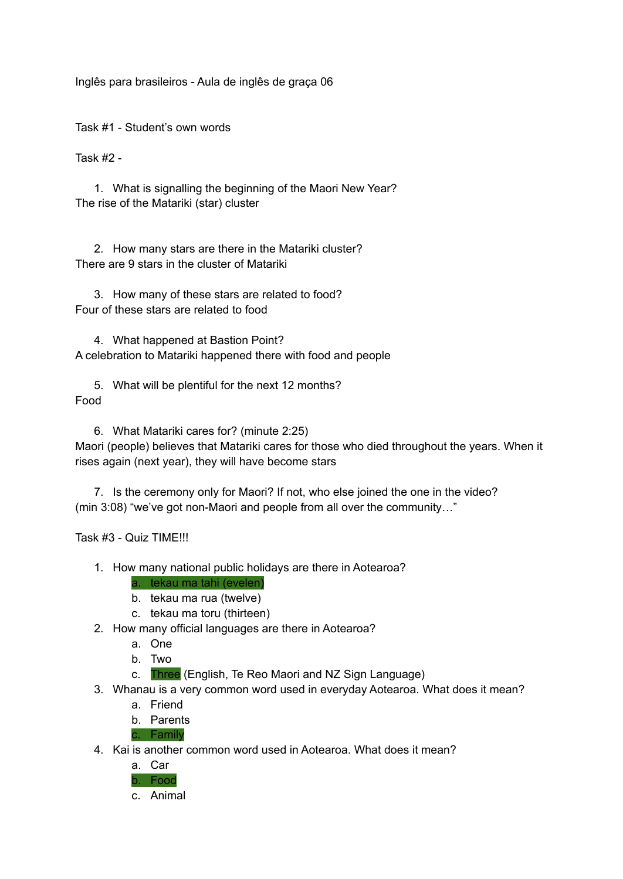Inglês para brasileiros - Aula de inglês de graça 06

Task #1 - Student's own words

Task #2 -

1. What is signalling the beginning of the Maori New Year? The rise of the Matariki (star) cluster

2. How many stars are there in the Matariki cluster? There are 9 stars in the cluster of Matariki

3. How many of these stars are related to food? Four of these stars are related to food

4. What happened at Bastion Point? A celebration to Matariki happened there with food and people

5. What will be plentiful for the next 12 months? Food

6. What Matariki cares for? (minute 2:25) Maori (people) believes that Matariki cares for those who died throughout the years. When it rises again (next year), they will have become stars

7. Is the ceremony only for Maori? If not, who else joined the one in the video? (min 3:08) "we've got non-Maori and people from all over the community…"

Task #3 - Quiz TIME!!!

- 1. How many national public holidays are there in Aotearoa?
	- a. tekau ma tahi (evelen)
	- b. tekau ma rua (twelve)
	- c. tekau ma toru (thirteen)
- 2. How many official languages are there in Aotearoa?
	- a. One
	- b. Two
	- c. Three (English, Te Reo Maori and NZ Sign Language)
- 3. Whanau is a very common word used in everyday Aotearoa. What does it mean?
	- a. Friend
	- b. Parents

c. Family

4. Kai is another common word used in Aotearoa. What does it mean?



c. Animal